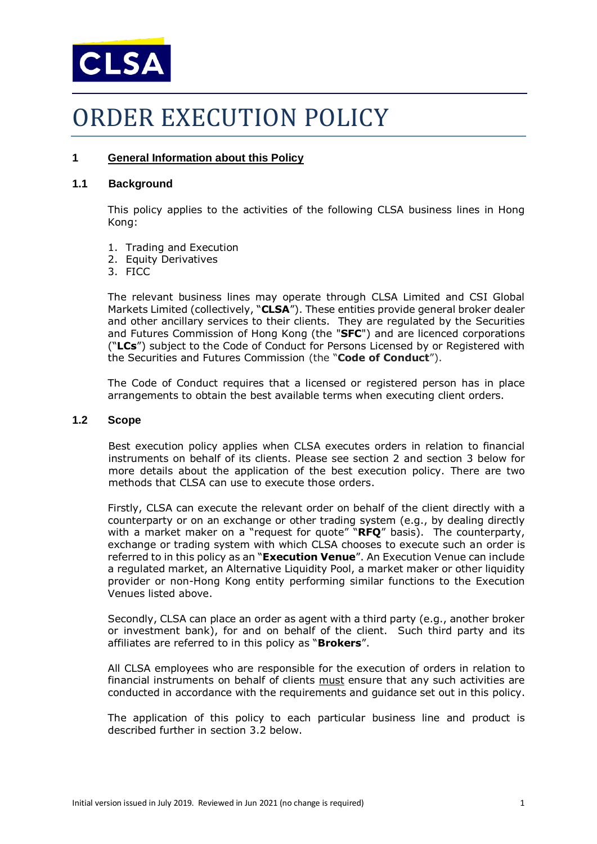

# ORDER EXECUTION POLICY

# **1 General Information about this Policy**

#### **1.1 Background**

This policy applies to the activities of the following CLSA business lines in Hong Kong:

- 1. Trading and Execution
- 2. Equity Derivatives
- 3. FICC

The relevant business lines may operate through CLSA Limited and CSI Global Markets Limited (collectively, "**CLSA**"). These entities provide general broker dealer and other ancillary services to their clients. They are regulated by the Securities and Futures Commission of Hong Kong (the "**SFC**") and are licenced corporations ("**LCs**") subject to the Code of Conduct for Persons Licensed by or Registered with the Securities and Futures Commission (the "**Code of Conduct**").

The Code of Conduct requires that a licensed or registered person has in place arrangements to obtain the best available terms when executing client orders.

#### **1.2 Scope**

Best execution policy applies when CLSA executes orders in relation to financial instruments on behalf of its clients. Please see section 2 and section 3 below for more details about the application of the best execution policy. There are two methods that CLSA can use to execute those orders.

Firstly, CLSA can execute the relevant order on behalf of the client directly with a counterparty or on an exchange or other trading system (e.g., by dealing directly with a market maker on a "request for quote" "**RFQ**" basis). The counterparty, exchange or trading system with which CLSA chooses to execute such an order is referred to in this policy as an "**Execution Venue**". An Execution Venue can include a regulated market, an Alternative Liquidity Pool, a market maker or other liquidity provider or non-Hong Kong entity performing similar functions to the Execution Venues listed above.

Secondly, CLSA can place an order as agent with a third party (e.g., another broker or investment bank), for and on behalf of the client. Such third party and its affiliates are referred to in this policy as "**Brokers**".

All CLSA employees who are responsible for the execution of orders in relation to financial instruments on behalf of clients must ensure that any such activities are conducted in accordance with the requirements and guidance set out in this policy.

The application of this policy to each particular business line and product is described further in section 3.2 below.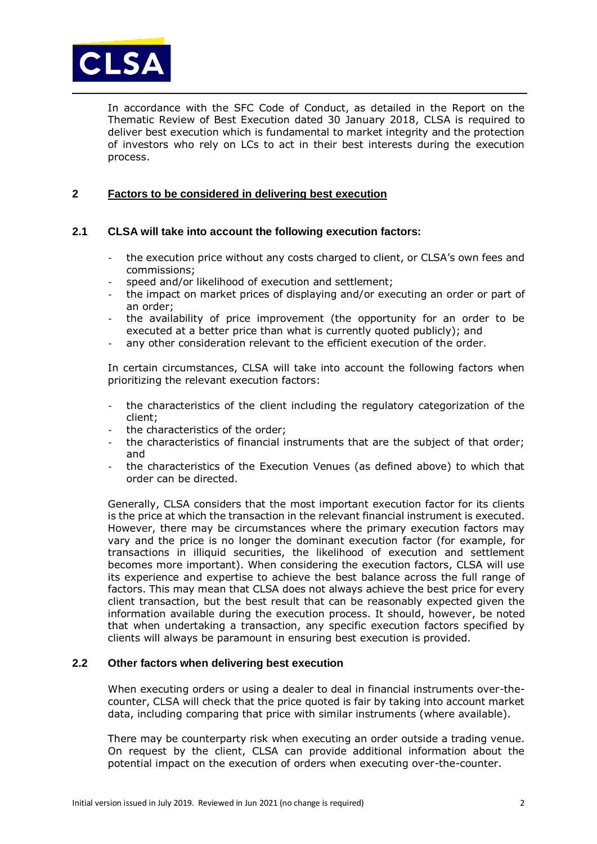

In accordance with the SFC Code of Conduct, as detailed in the Report on the Thematic Review of Best Execution dated 30 January 2018, CLSA is required to deliver best execution which is fundamental to market integrity and the protection of investors who rely on LCs to act in their best interests during the execution process.

# **2 Factors to be considered in delivering best execution**

# **2.1 CLSA will take into account the following execution factors:**

- the execution price without any costs charged to client, or CLSA's own fees and commissions;
- speed and/or likelihood of execution and settlement:
- the impact on market prices of displaying and/or executing an order or part of an order;
- the availability of price improvement (the opportunity for an order to be executed at a better price than what is currently quoted publicly); and
- any other consideration relevant to the efficient execution of the order.

In certain circumstances, CLSA will take into account the following factors when prioritizing the relevant execution factors:

- the characteristics of the client including the regulatory categorization of the client;
- the characteristics of the order;
- the characteristics of financial instruments that are the subject of that order; and
- the characteristics of the Execution Venues (as defined above) to which that order can be directed.

Generally, CLSA considers that the most important execution factor for its clients is the price at which the transaction in the relevant financial instrument is executed. However, there may be circumstances where the primary execution factors may vary and the price is no longer the dominant execution factor (for example, for transactions in illiquid securities, the likelihood of execution and settlement becomes more important). When considering the execution factors, CLSA will use its experience and expertise to achieve the best balance across the full range of factors. This may mean that CLSA does not always achieve the best price for every client transaction, but the best result that can be reasonably expected given the information available during the execution process. It should, however, be noted that when undertaking a transaction, any specific execution factors specified by clients will always be paramount in ensuring best execution is provided.

# **2.2 Other factors when delivering best execution**

When executing orders or using a dealer to deal in financial instruments over-thecounter, CLSA will check that the price quoted is fair by taking into account market data, including comparing that price with similar instruments (where available).

There may be counterparty risk when executing an order outside a trading venue. On request by the client, CLSA can provide additional information about the potential impact on the execution of orders when executing over-the-counter.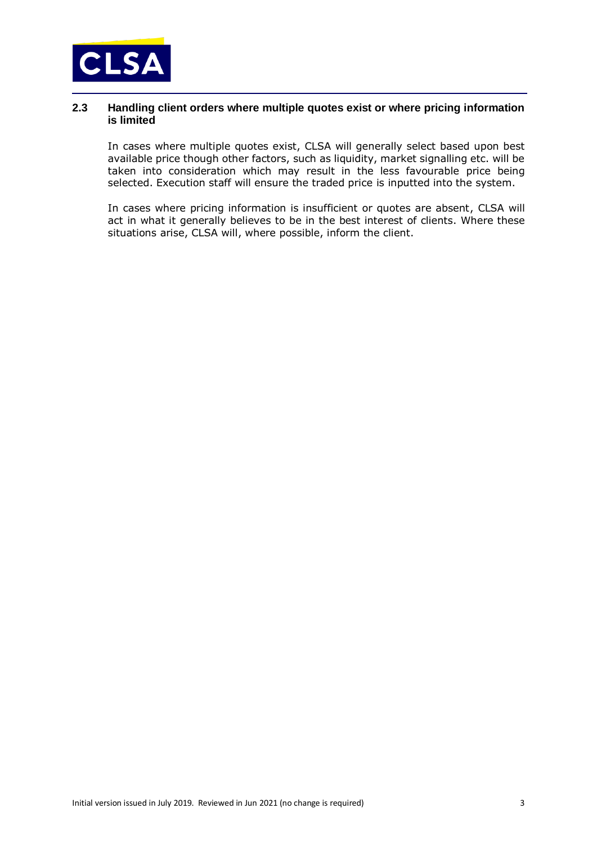

## **2.3 Handling client orders where multiple quotes exist or where pricing information is limited**

In cases where multiple quotes exist, CLSA will generally select based upon best available price though other factors, such as liquidity, market signalling etc. will be taken into consideration which may result in the less favourable price being selected. Execution staff will ensure the traded price is inputted into the system.

In cases where pricing information is insufficient or quotes are absent, CLSA will act in what it generally believes to be in the best interest of clients. Where these situations arise, CLSA will, where possible, inform the client.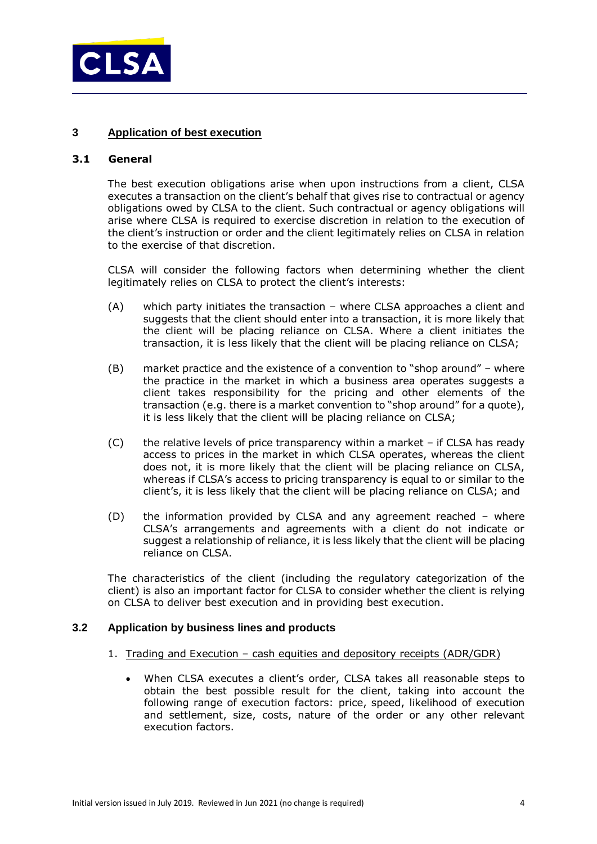

# **3 Application of best execution**

#### **3.1 General**

The best execution obligations arise when upon instructions from a client, CLSA executes a transaction on the client's behalf that gives rise to contractual or agency obligations owed by CLSA to the client. Such contractual or agency obligations will arise where CLSA is required to exercise discretion in relation to the execution of the client's instruction or order and the client legitimately relies on CLSA in relation to the exercise of that discretion.

CLSA will consider the following factors when determining whether the client legitimately relies on CLSA to protect the client's interests:

- (A) which party initiates the transaction where CLSA approaches a client and suggests that the client should enter into a transaction, it is more likely that the client will be placing reliance on CLSA. Where a client initiates the transaction, it is less likely that the client will be placing reliance on CLSA;
- (B) market practice and the existence of a convention to "shop around" where the practice in the market in which a business area operates suggests a client takes responsibility for the pricing and other elements of the transaction (e.g. there is a market convention to "shop around" for a quote), it is less likely that the client will be placing reliance on CLSA;
- (C) the relative levels of price transparency within a market if CLSA has ready access to prices in the market in which CLSA operates, whereas the client does not, it is more likely that the client will be placing reliance on CLSA, whereas if CLSA's access to pricing transparency is equal to or similar to the client's, it is less likely that the client will be placing reliance on CLSA; and
- (D) the information provided by CLSA and any agreement reached where CLSA's arrangements and agreements with a client do not indicate or suggest a relationship of reliance, it is less likely that the client will be placing reliance on CLSA.

The characteristics of the client (including the regulatory categorization of the client) is also an important factor for CLSA to consider whether the client is relying on CLSA to deliver best execution and in providing best execution.

#### **3.2 Application by business lines and products**

- 1. Trading and Execution cash equities and depository receipts (ADR/GDR)
	- When CLSA executes a client's order, CLSA takes all reasonable steps to obtain the best possible result for the client, taking into account the following range of execution factors: price, speed, likelihood of execution and settlement, size, costs, nature of the order or any other relevant execution factors.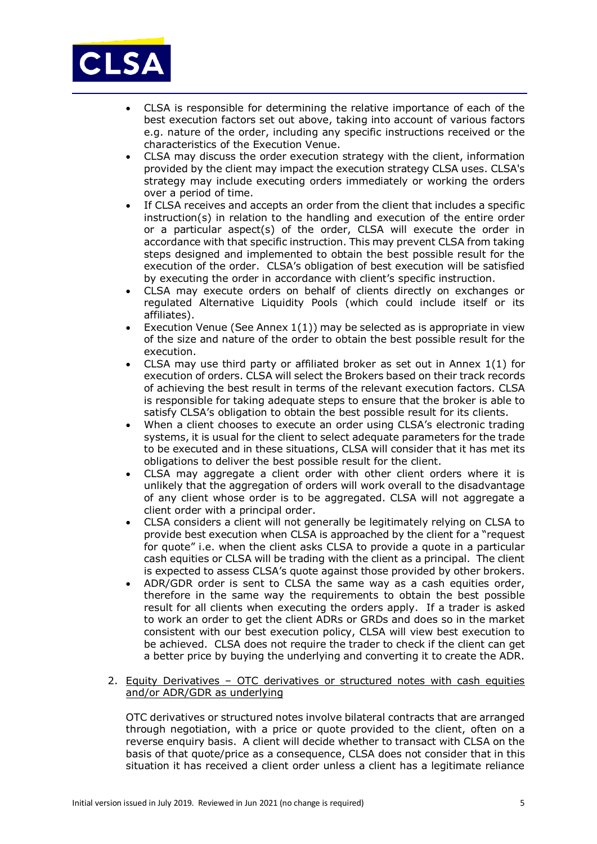

- CLSA is responsible for determining the relative importance of each of the best execution factors set out above, taking into account of various factors e.g. nature of the order, including any specific instructions received or the characteristics of the Execution Venue.
- CLSA may discuss the order execution strategy with the client, information provided by the client may impact the execution strategy CLSA uses. CLSA's strategy may include executing orders immediately or working the orders over a period of time.
- If CLSA receives and accepts an order from the client that includes a specific instruction(s) in relation to the handling and execution of the entire order or a particular aspect(s) of the order, CLSA will execute the order in accordance with that specific instruction. This may prevent CLSA from taking steps designed and implemented to obtain the best possible result for the execution of the order. CLSA's obligation of best execution will be satisfied by executing the order in accordance with client's specific instruction.
- CLSA may execute orders on behalf of clients directly on exchanges or regulated Alternative Liquidity Pools (which could include itself or its affiliates).
- Execution Venue (See Annex 1(1)) may be selected as is appropriate in view of the size and nature of the order to obtain the best possible result for the execution.
- CLSA may use third party or affiliated broker as set out in Annex 1(1) for execution of orders. CLSA will select the Brokers based on their track records of achieving the best result in terms of the relevant execution factors. CLSA is responsible for taking adequate steps to ensure that the broker is able to satisfy CLSA's obligation to obtain the best possible result for its clients.
- When a client chooses to execute an order using CLSA's electronic trading systems, it is usual for the client to select adequate parameters for the trade to be executed and in these situations, CLSA will consider that it has met its obligations to deliver the best possible result for the client.
- CLSA may aggregate a client order with other client orders where it is unlikely that the aggregation of orders will work overall to the disadvantage of any client whose order is to be aggregated. CLSA will not aggregate a client order with a principal order.
- CLSA considers a client will not generally be legitimately relying on CLSA to provide best execution when CLSA is approached by the client for a "request for quote" i.e. when the client asks CLSA to provide a quote in a particular cash equities or CLSA will be trading with the client as a principal. The client is expected to assess CLSA's quote against those provided by other brokers.
- ADR/GDR order is sent to CLSA the same way as a cash equities order, therefore in the same way the requirements to obtain the best possible result for all clients when executing the orders apply. If a trader is asked to work an order to get the client ADRs or GRDs and does so in the market consistent with our best execution policy, CLSA will view best execution to be achieved. CLSA does not require the trader to check if the client can get a better price by buying the underlying and converting it to create the ADR.
- 2. Equity Derivatives OTC derivatives or structured notes with cash equities and/or ADR/GDR as underlying

OTC derivatives or structured notes involve bilateral contracts that are arranged through negotiation, with a price or quote provided to the client, often on a reverse enquiry basis. A client will decide whether to transact with CLSA on the basis of that quote/price as a consequence, CLSA does not consider that in this situation it has received a client order unless a client has a legitimate reliance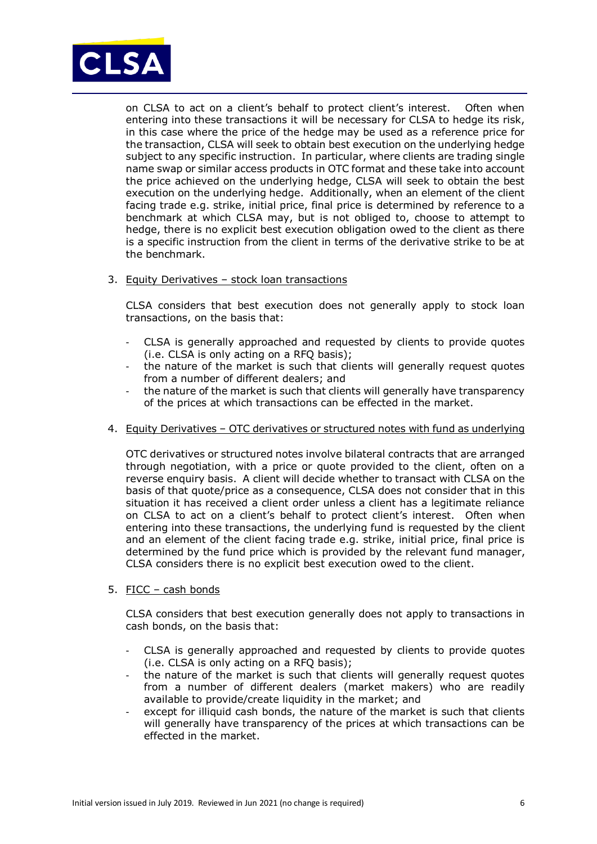

on CLSA to act on a client's behalf to protect client's interest. Often when entering into these transactions it will be necessary for CLSA to hedge its risk, in this case where the price of the hedge may be used as a reference price for the transaction, CLSA will seek to obtain best execution on the underlying hedge subject to any specific instruction. In particular, where clients are trading single name swap or similar access products in OTC format and these take into account the price achieved on the underlying hedge, CLSA will seek to obtain the best execution on the underlying hedge. Additionally, when an element of the client facing trade e.g. strike, initial price, final price is determined by reference to a benchmark at which CLSA may, but is not obliged to, choose to attempt to hedge, there is no explicit best execution obligation owed to the client as there is a specific instruction from the client in terms of the derivative strike to be at the benchmark.

3. Equity Derivatives – stock loan transactions

CLSA considers that best execution does not generally apply to stock loan transactions, on the basis that:

- CLSA is generally approached and requested by clients to provide quotes (i.e. CLSA is only acting on a RFQ basis);
- the nature of the market is such that clients will generally request quotes from a number of different dealers; and
- the nature of the market is such that clients will generally have transparency of the prices at which transactions can be effected in the market.
- 4. Equity Derivatives OTC derivatives or structured notes with fund as underlying

OTC derivatives or structured notes involve bilateral contracts that are arranged through negotiation, with a price or quote provided to the client, often on a reverse enquiry basis. A client will decide whether to transact with CLSA on the basis of that quote/price as a consequence, CLSA does not consider that in this situation it has received a client order unless a client has a legitimate reliance on CLSA to act on a client's behalf to protect client's interest. Often when entering into these transactions, the underlying fund is requested by the client and an element of the client facing trade e.g. strike, initial price, final price is determined by the fund price which is provided by the relevant fund manager, CLSA considers there is no explicit best execution owed to the client.

5. FICC – cash bonds

CLSA considers that best execution generally does not apply to transactions in cash bonds, on the basis that:

- CLSA is generally approached and requested by clients to provide quotes (i.e. CLSA is only acting on a RFQ basis);
- the nature of the market is such that clients will generally request quotes from a number of different dealers (market makers) who are readily available to provide/create liquidity in the market; and
- except for illiquid cash bonds, the nature of the market is such that clients will generally have transparency of the prices at which transactions can be effected in the market.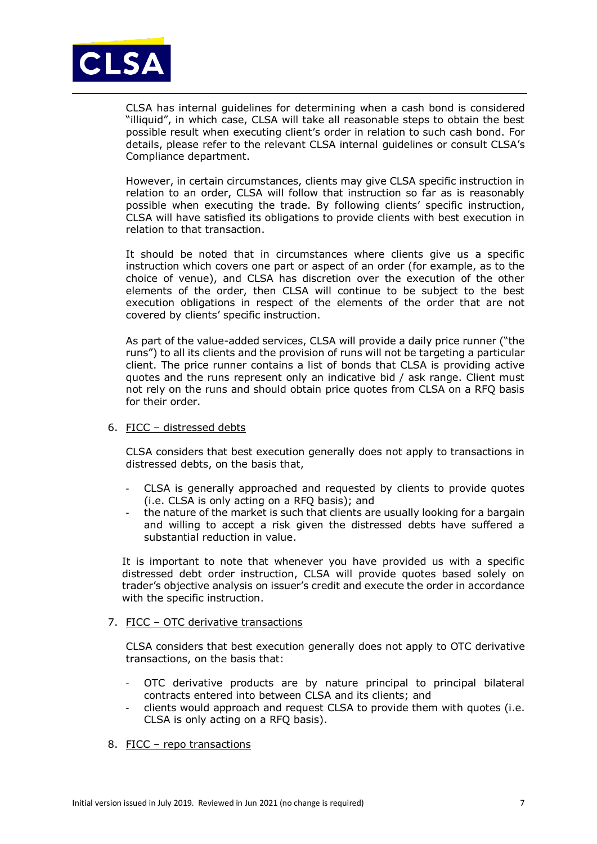

CLSA has internal guidelines for determining when a cash bond is considered "illiquid", in which case, CLSA will take all reasonable steps to obtain the best possible result when executing client's order in relation to such cash bond. For details, please refer to the relevant CLSA internal guidelines or consult CLSA's Compliance department.

However, in certain circumstances, clients may give CLSA specific instruction in relation to an order, CLSA will follow that instruction so far as is reasonably possible when executing the trade. By following clients' specific instruction, CLSA will have satisfied its obligations to provide clients with best execution in relation to that transaction.

It should be noted that in circumstances where clients give us a specific instruction which covers one part or aspect of an order (for example, as to the choice of venue), and CLSA has discretion over the execution of the other elements of the order, then CLSA will continue to be subject to the best execution obligations in respect of the elements of the order that are not covered by clients' specific instruction.

As part of the value-added services, CLSA will provide a daily price runner ("the runs") to all its clients and the provision of runs will not be targeting a particular client. The price runner contains a list of bonds that CLSA is providing active quotes and the runs represent only an indicative bid / ask range. Client must not rely on the runs and should obtain price quotes from CLSA on a RFQ basis for their order.

#### 6. FICC – distressed debts

CLSA considers that best execution generally does not apply to transactions in distressed debts, on the basis that,

- CLSA is generally approached and requested by clients to provide quotes (i.e. CLSA is only acting on a RFQ basis); and
- the nature of the market is such that clients are usually looking for a bargain and willing to accept a risk given the distressed debts have suffered a substantial reduction in value.

It is important to note that whenever you have provided us with a specific distressed debt order instruction, CLSA will provide quotes based solely on trader's objective analysis on issuer's credit and execute the order in accordance with the specific instruction.

#### 7. FICC – OTC derivative transactions

CLSA considers that best execution generally does not apply to OTC derivative transactions, on the basis that:

- OTC derivative products are by nature principal to principal bilateral contracts entered into between CLSA and its clients; and
- clients would approach and request CLSA to provide them with quotes (i.e. CLSA is only acting on a RFQ basis).

#### 8. FICC – repo transactions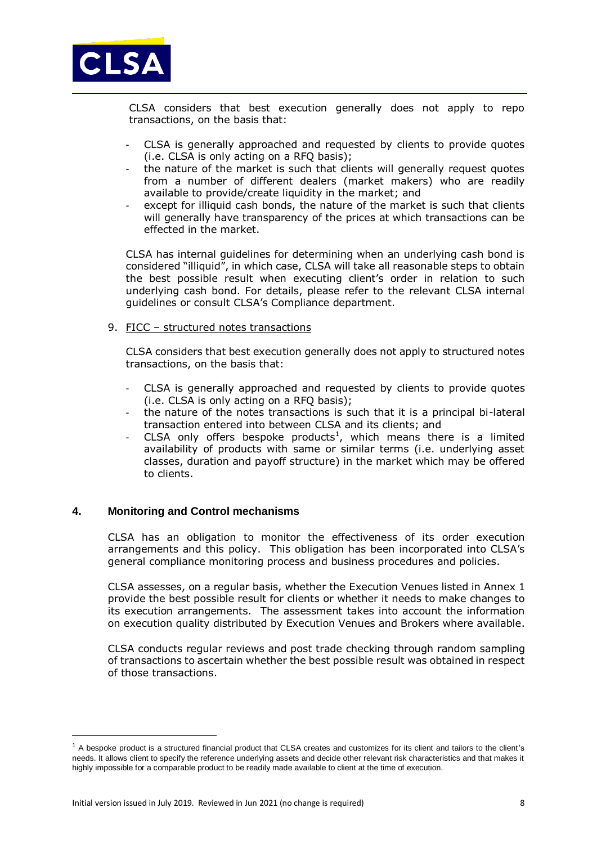

CLSA considers that best execution generally does not apply to repo transactions, on the basis that:

- CLSA is generally approached and requested by clients to provide quotes (i.e. CLSA is only acting on a RFQ basis);
- the nature of the market is such that clients will generally request quotes from a number of different dealers (market makers) who are readily available to provide/create liquidity in the market; and
- except for illiquid cash bonds, the nature of the market is such that clients will generally have transparency of the prices at which transactions can be effected in the market.

CLSA has internal guidelines for determining when an underlying cash bond is considered "illiquid", in which case, CLSA will take all reasonable steps to obtain the best possible result when executing client's order in relation to such underlying cash bond. For details, please refer to the relevant CLSA internal guidelines or consult CLSA's Compliance department.

9. FICC – structured notes transactions

CLSA considers that best execution generally does not apply to structured notes transactions, on the basis that:

- CLSA is generally approached and requested by clients to provide quotes (i.e. CLSA is only acting on a RFQ basis);
- the nature of the notes transactions is such that it is a principal bi-lateral transaction entered into between CLSA and its clients; and
- CLSA only offers bespoke products<sup>1</sup>, which means there is a limited availability of products with same or similar terms (i.e. underlying asset classes, duration and payoff structure) in the market which may be offered to clients.

# **4. Monitoring and Control mechanisms**

CLSA has an obligation to monitor the effectiveness of its order execution arrangements and this policy. This obligation has been incorporated into CLSA's general compliance monitoring process and business procedures and policies.

CLSA assesses, on a regular basis, whether the Execution Venues listed in Annex 1 provide the best possible result for clients or whether it needs to make changes to its execution arrangements. The assessment takes into account the information on execution quality distributed by Execution Venues and Brokers where available.

CLSA conducts regular reviews and post trade checking through random sampling of transactions to ascertain whether the best possible result was obtained in respect of those transactions.

1

 $1$  A bespoke product is a structured financial product that CLSA creates and customizes for its client and tailors to the client's needs. It allows client to specify the reference underlying assets and decide other relevant risk characteristics and that makes it highly impossible for a comparable product to be readily made available to client at the time of execution.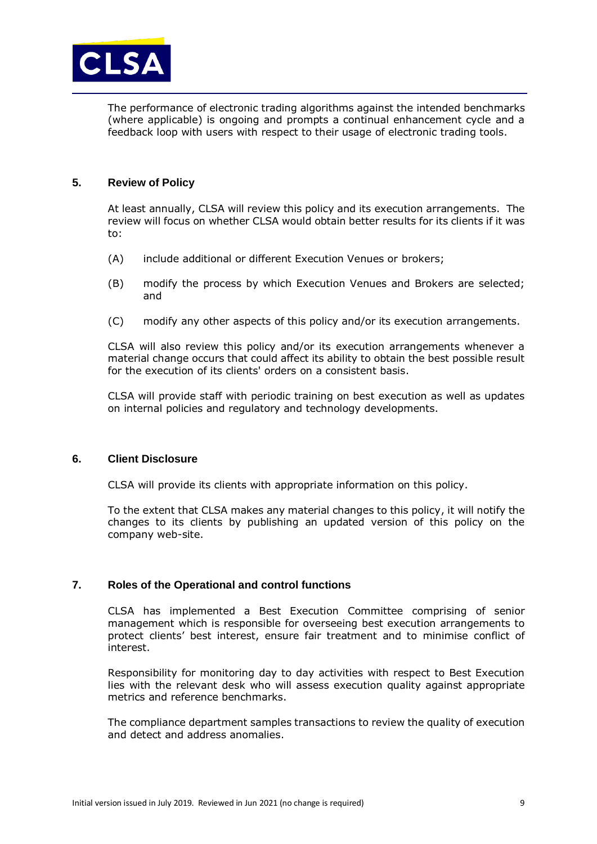

The performance of electronic trading algorithms against the intended benchmarks (where applicable) is ongoing and prompts a continual enhancement cycle and a feedback loop with users with respect to their usage of electronic trading tools.

# **5. Review of Policy**

At least annually, CLSA will review this policy and its execution arrangements. The review will focus on whether CLSA would obtain better results for its clients if it was to:

- (A) include additional or different Execution Venues or brokers;
- (B) modify the process by which Execution Venues and Brokers are selected; and
- (C) modify any other aspects of this policy and/or its execution arrangements.

CLSA will also review this policy and/or its execution arrangements whenever a material change occurs that could affect its ability to obtain the best possible result for the execution of its clients' orders on a consistent basis.

CLSA will provide staff with periodic training on best execution as well as updates on internal policies and regulatory and technology developments.

#### **6. Client Disclosure**

CLSA will provide its clients with appropriate information on this policy.

To the extent that CLSA makes any material changes to this policy, it will notify the changes to its clients by publishing an updated version of this policy on the company web-site.

# **7. Roles of the Operational and control functions**

CLSA has implemented a Best Execution Committee comprising of senior management which is responsible for overseeing best execution arrangements to protect clients' best interest, ensure fair treatment and to minimise conflict of interest.

Responsibility for monitoring day to day activities with respect to Best Execution lies with the relevant desk who will assess execution quality against appropriate metrics and reference benchmarks.

The compliance department samples transactions to review the quality of execution and detect and address anomalies.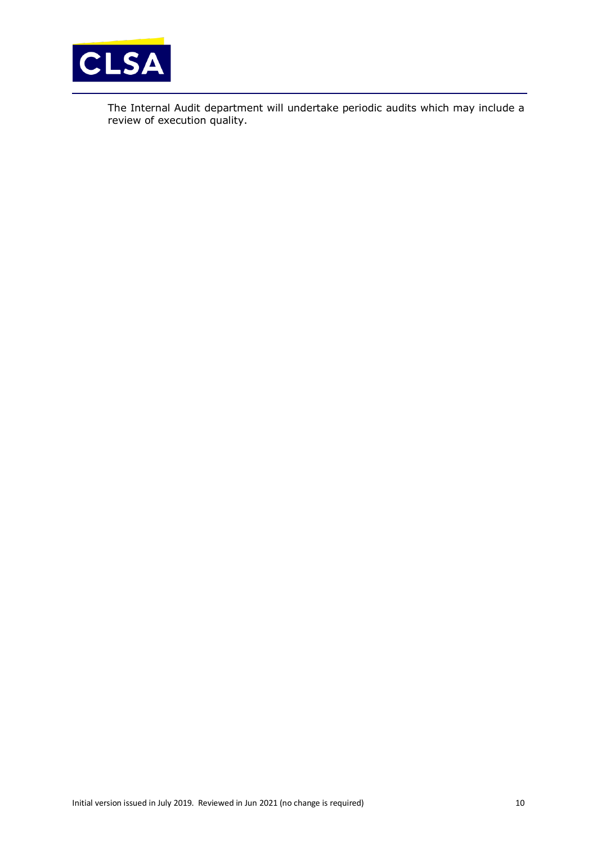

The Internal Audit department will undertake periodic audits which may include a review of execution quality.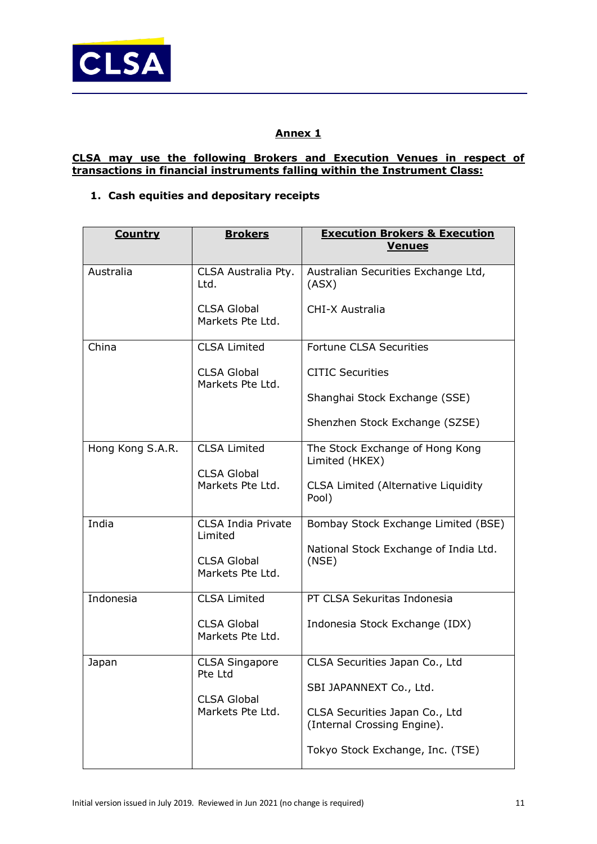

# **Annex 1**

# **CLSA may use the following Brokers and Execution Venues in respect of transactions in financial instruments falling within the Instrument Class:**

# **1. Cash equities and depositary receipts**

| <b>Country</b>   | <b>Brokers</b>                         | <b>Execution Brokers &amp; Execution</b><br><b>Venues</b>     |
|------------------|----------------------------------------|---------------------------------------------------------------|
|                  |                                        |                                                               |
| Australia        | CLSA Australia Pty.<br>Ltd.            | Australian Securities Exchange Ltd,<br>(ASX)                  |
|                  | <b>CLSA Global</b><br>Markets Pte Ltd. | CHI-X Australia                                               |
| China            | <b>CLSA Limited</b>                    | <b>Fortune CLSA Securities</b>                                |
|                  | <b>CLSA Global</b><br>Markets Pte Ltd. | <b>CITIC Securities</b>                                       |
|                  |                                        | Shanghai Stock Exchange (SSE)                                 |
|                  |                                        | Shenzhen Stock Exchange (SZSE)                                |
| Hong Kong S.A.R. | <b>CLSA Limited</b>                    | The Stock Exchange of Hong Kong<br>Limited (HKEX)             |
|                  | <b>CLSA Global</b><br>Markets Pte Ltd. | <b>CLSA Limited (Alternative Liquidity</b><br>Pool)           |
| India            | <b>CLSA India Private</b><br>Limited   | Bombay Stock Exchange Limited (BSE)                           |
|                  | <b>CLSA Global</b><br>Markets Pte Ltd. | National Stock Exchange of India Ltd.<br>(NSE)                |
| Indonesia        | <b>CLSA Limited</b>                    | PT CLSA Sekuritas Indonesia                                   |
|                  | <b>CLSA Global</b><br>Markets Pte Ltd. | Indonesia Stock Exchange (IDX)                                |
| Japan            | <b>CLSA Singapore</b><br>Pte Ltd       | CLSA Securities Japan Co., Ltd                                |
|                  | <b>CLSA Global</b>                     | SBI JAPANNEXT Co., Ltd.                                       |
|                  | Markets Pte Ltd.                       | CLSA Securities Japan Co., Ltd<br>(Internal Crossing Engine). |
|                  |                                        | Tokyo Stock Exchange, Inc. (TSE)                              |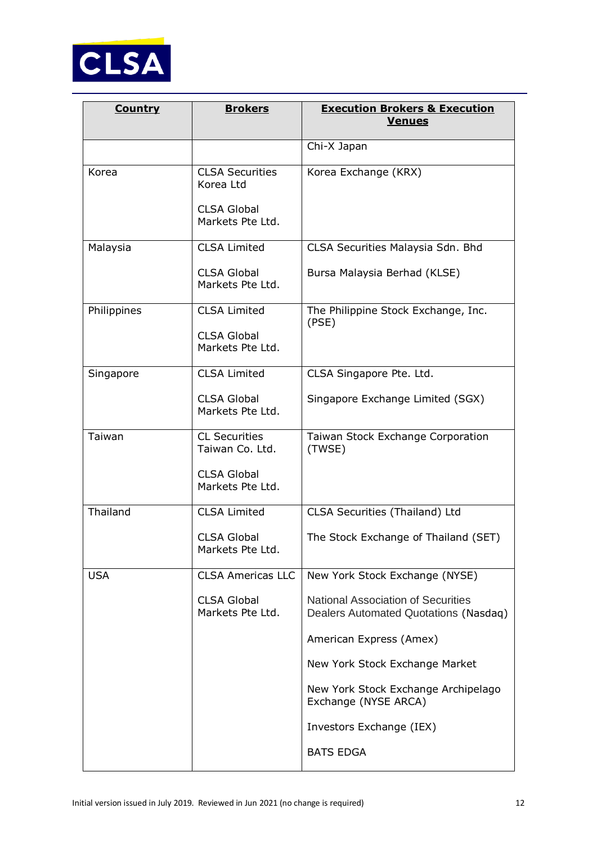

| <b>Country</b> | <b>Brokers</b>                                            | <b>Execution Brokers &amp; Execution</b><br><b>Venues</b>                          |
|----------------|-----------------------------------------------------------|------------------------------------------------------------------------------------|
|                |                                                           | Chi-X Japan                                                                        |
| Korea          | <b>CLSA Securities</b><br>Korea Ltd<br><b>CLSA Global</b> | Korea Exchange (KRX)                                                               |
|                | Markets Pte Ltd.                                          |                                                                                    |
| Malaysia       | <b>CLSA Limited</b>                                       | CLSA Securities Malaysia Sdn. Bhd                                                  |
|                | <b>CLSA Global</b><br>Markets Pte Ltd.                    | Bursa Malaysia Berhad (KLSE)                                                       |
| Philippines    | <b>CLSA Limited</b>                                       | The Philippine Stock Exchange, Inc.<br>(PSE)                                       |
|                | <b>CLSA Global</b><br>Markets Pte Ltd.                    |                                                                                    |
| Singapore      | <b>CLSA Limited</b>                                       | CLSA Singapore Pte. Ltd.                                                           |
|                | <b>CLSA Global</b><br>Markets Pte Ltd.                    | Singapore Exchange Limited (SGX)                                                   |
| Taiwan         | <b>CL Securities</b><br>Taiwan Co. Ltd.                   | Taiwan Stock Exchange Corporation<br>(TWSE)                                        |
|                | <b>CLSA Global</b><br>Markets Pte Ltd.                    |                                                                                    |
| Thailand       | <b>CLSA Limited</b>                                       | CLSA Securities (Thailand) Ltd                                                     |
|                | <b>CLSA Global</b><br>Markets Pte Ltd.                    | The Stock Exchange of Thailand (SET)                                               |
| <b>USA</b>     | <b>CLSA Americas LLC</b>                                  | New York Stock Exchange (NYSE)                                                     |
|                | <b>CLSA Global</b><br>Markets Pte Ltd.                    | <b>National Association of Securities</b><br>Dealers Automated Quotations (Nasdaq) |
|                |                                                           | American Express (Amex)                                                            |
|                |                                                           | New York Stock Exchange Market                                                     |
|                |                                                           | New York Stock Exchange Archipelago<br>Exchange (NYSE ARCA)                        |
|                |                                                           | Investors Exchange (IEX)                                                           |
|                |                                                           | <b>BATS EDGA</b>                                                                   |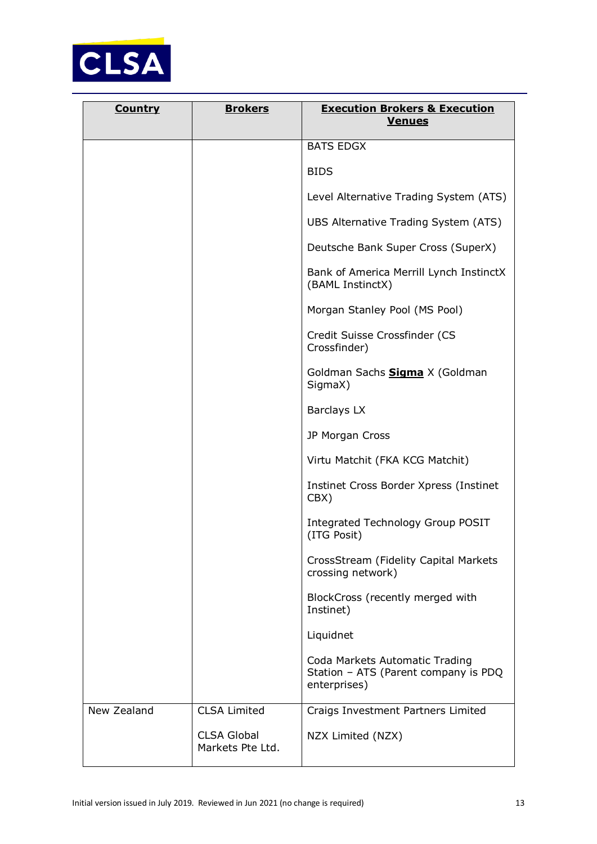

| <b>Country</b> | <b>Brokers</b>                         | <b>Execution Brokers &amp; Execution</b><br><u>Venues</u>                              |
|----------------|----------------------------------------|----------------------------------------------------------------------------------------|
|                |                                        | <b>BATS EDGX</b>                                                                       |
|                |                                        | <b>BIDS</b>                                                                            |
|                |                                        | Level Alternative Trading System (ATS)                                                 |
|                |                                        | UBS Alternative Trading System (ATS)                                                   |
|                |                                        | Deutsche Bank Super Cross (SuperX)                                                     |
|                |                                        | Bank of America Merrill Lynch InstinctX<br>(BAML InstinctX)                            |
|                |                                        | Morgan Stanley Pool (MS Pool)                                                          |
|                |                                        | Credit Suisse Crossfinder (CS<br>Crossfinder)                                          |
|                |                                        | Goldman Sachs <b>Sigma</b> X (Goldman<br>SigmaX)                                       |
|                |                                        | <b>Barclays LX</b>                                                                     |
|                |                                        | JP Morgan Cross                                                                        |
|                |                                        | Virtu Matchit (FKA KCG Matchit)                                                        |
|                |                                        | Instinet Cross Border Xpress (Instinet<br>CBX)                                         |
|                |                                        | Integrated Technology Group POSIT<br>(ITG Posit)                                       |
|                |                                        | CrossStream (Fidelity Capital Markets<br>crossing network)                             |
|                |                                        | BlockCross (recently merged with<br>Instinet)                                          |
|                |                                        | Liquidnet                                                                              |
|                |                                        | Coda Markets Automatic Trading<br>Station - ATS (Parent company is PDQ<br>enterprises) |
| New Zealand    | <b>CLSA Limited</b>                    | Craigs Investment Partners Limited                                                     |
|                | <b>CLSA Global</b><br>Markets Pte Ltd. | NZX Limited (NZX)                                                                      |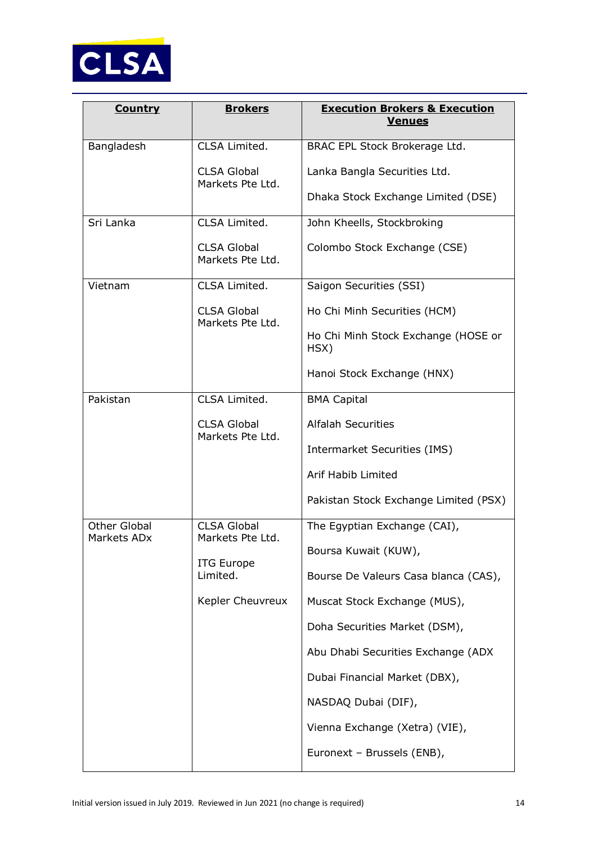

| <b>Country</b>                          | <b>Brokers</b>                         | <b>Execution Brokers &amp; Execution</b><br><b>Venues</b> |
|-----------------------------------------|----------------------------------------|-----------------------------------------------------------|
| Bangladesh                              | CLSA Limited.                          | BRAC EPL Stock Brokerage Ltd.                             |
|                                         | <b>CLSA Global</b><br>Markets Pte Ltd. | Lanka Bangla Securities Ltd.                              |
|                                         |                                        | Dhaka Stock Exchange Limited (DSE)                        |
| Sri Lanka                               | CLSA Limited.                          | John Kheells, Stockbroking                                |
|                                         | <b>CLSA Global</b><br>Markets Pte Ltd. | Colombo Stock Exchange (CSE)                              |
| Vietnam                                 | CLSA Limited.                          | Saigon Securities (SSI)                                   |
|                                         | <b>CLSA Global</b><br>Markets Pte Ltd. | Ho Chi Minh Securities (HCM)                              |
|                                         |                                        | Ho Chi Minh Stock Exchange (HOSE or<br>HSX)               |
|                                         |                                        | Hanoi Stock Exchange (HNX)                                |
| Pakistan                                | CLSA Limited.                          | <b>BMA Capital</b>                                        |
|                                         | <b>CLSA Global</b>                     | <b>Alfalah Securities</b>                                 |
|                                         | Markets Pte Ltd.                       | <b>Intermarket Securities (IMS)</b>                       |
|                                         |                                        | Arif Habib Limited                                        |
|                                         |                                        | Pakistan Stock Exchange Limited (PSX)                     |
| Other Global<br>Markets AD <sub>x</sub> | <b>CLSA Global</b><br>Markets Pte Ltd. | The Egyptian Exchange (CAI),                              |
|                                         | <b>ITG Europe</b>                      | Boursa Kuwait (KUW),                                      |
|                                         | Limited.                               | Bourse De Valeurs Casa blanca (CAS),                      |
|                                         | Kepler Cheuvreux                       | Muscat Stock Exchange (MUS),                              |
|                                         |                                        | Doha Securities Market (DSM),                             |
|                                         |                                        | Abu Dhabi Securities Exchange (ADX                        |
|                                         |                                        | Dubai Financial Market (DBX),                             |
|                                         |                                        | NASDAQ Dubai (DIF),                                       |
|                                         |                                        | Vienna Exchange (Xetra) (VIE),                            |
|                                         |                                        | Euronext - Brussels (ENB),                                |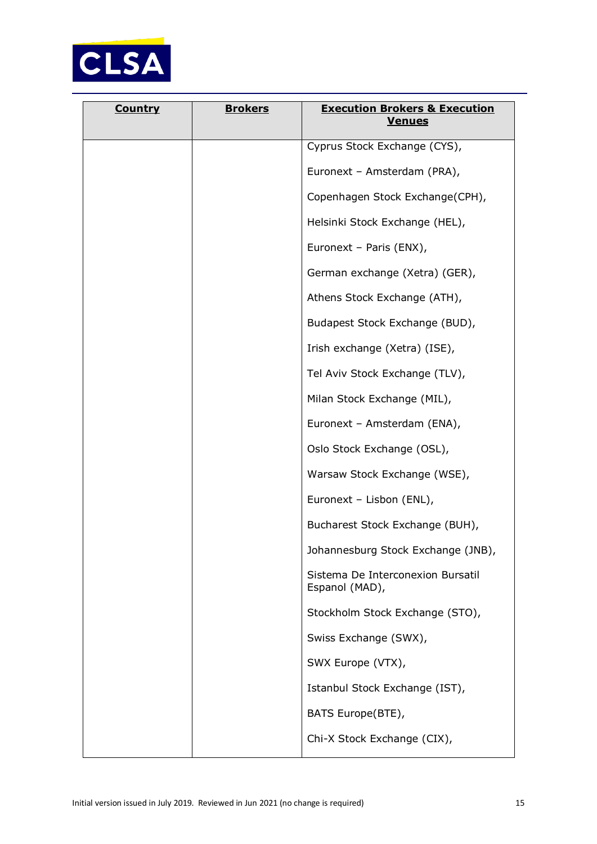

| <b>Country</b> | <b>Brokers</b> | <b>Execution Brokers &amp; Execution</b><br><b>Venues</b> |
|----------------|----------------|-----------------------------------------------------------|
|                |                | Cyprus Stock Exchange (CYS),                              |
|                |                | Euronext - Amsterdam (PRA),                               |
|                |                | Copenhagen Stock Exchange(CPH),                           |
|                |                | Helsinki Stock Exchange (HEL),                            |
|                |                | Euronext - Paris (ENX),                                   |
|                |                | German exchange (Xetra) (GER),                            |
|                |                | Athens Stock Exchange (ATH),                              |
|                |                | Budapest Stock Exchange (BUD),                            |
|                |                | Irish exchange (Xetra) (ISE),                             |
|                |                | Tel Aviv Stock Exchange (TLV),                            |
|                |                | Milan Stock Exchange (MIL),                               |
|                |                | Euronext - Amsterdam (ENA),                               |
|                |                | Oslo Stock Exchange (OSL),                                |
|                |                | Warsaw Stock Exchange (WSE),                              |
|                |                | Euronext - Lisbon (ENL),                                  |
|                |                | Bucharest Stock Exchange (BUH),                           |
|                |                | Johannesburg Stock Exchange (JNB),                        |
|                |                | Sistema De Interconexion Bursatil<br>Espanol (MAD),       |
|                |                | Stockholm Stock Exchange (STO),                           |
|                |                | Swiss Exchange (SWX),                                     |
|                |                | SWX Europe (VTX),                                         |
|                |                | Istanbul Stock Exchange (IST),                            |
|                |                | BATS Europe(BTE),                                         |
|                |                | Chi-X Stock Exchange (CIX),                               |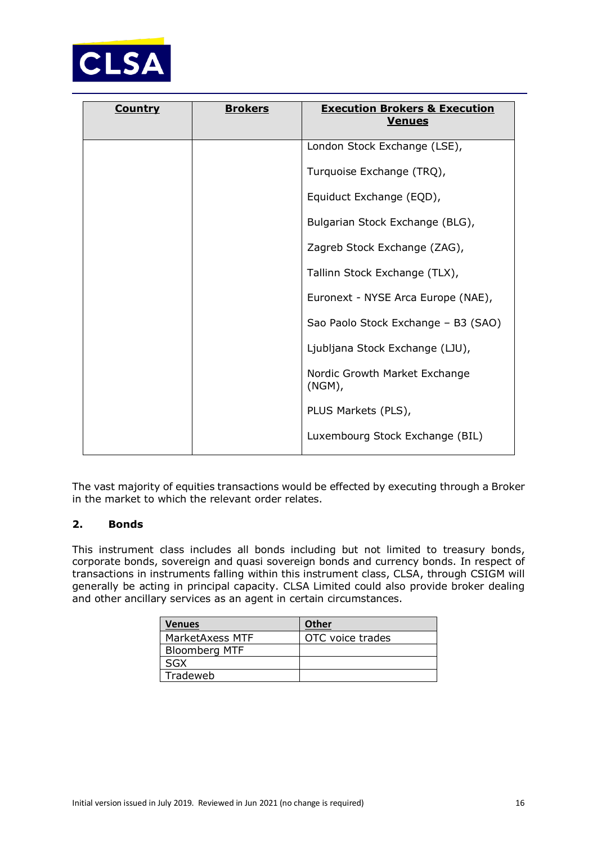

| <b>Country</b> | <b>Brokers</b> | <b>Execution Brokers &amp; Execution</b><br><b>Venues</b> |
|----------------|----------------|-----------------------------------------------------------|
|                |                | London Stock Exchange (LSE),                              |
|                |                | Turquoise Exchange (TRQ),                                 |
|                |                | Equiduct Exchange (EQD),                                  |
|                |                | Bulgarian Stock Exchange (BLG),                           |
|                |                | Zagreb Stock Exchange (ZAG),                              |
|                |                | Tallinn Stock Exchange (TLX),                             |
|                |                | Euronext - NYSE Arca Europe (NAE),                        |
|                |                | Sao Paolo Stock Exchange - B3 (SAO)                       |
|                |                | Ljubljana Stock Exchange (LJU),                           |
|                |                | Nordic Growth Market Exchange<br>(NGM),                   |
|                |                | PLUS Markets (PLS),                                       |
|                |                | Luxembourg Stock Exchange (BIL)                           |

The vast majority of equities transactions would be effected by executing through a Broker in the market to which the relevant order relates.

# **2. Bonds**

This instrument class includes all bonds including but not limited to treasury bonds, corporate bonds, sovereign and quasi sovereign bonds and currency bonds. In respect of transactions in instruments falling within this instrument class, CLSA, through CSIGM will generally be acting in principal capacity. CLSA Limited could also provide broker dealing and other ancillary services as an agent in certain circumstances.

| <b>Venues</b>        | <b>Other</b>     |
|----------------------|------------------|
| MarketAxess MTF      | OTC voice trades |
| <b>Bloomberg MTF</b> |                  |
| SGX                  |                  |
| Tradeweb             |                  |